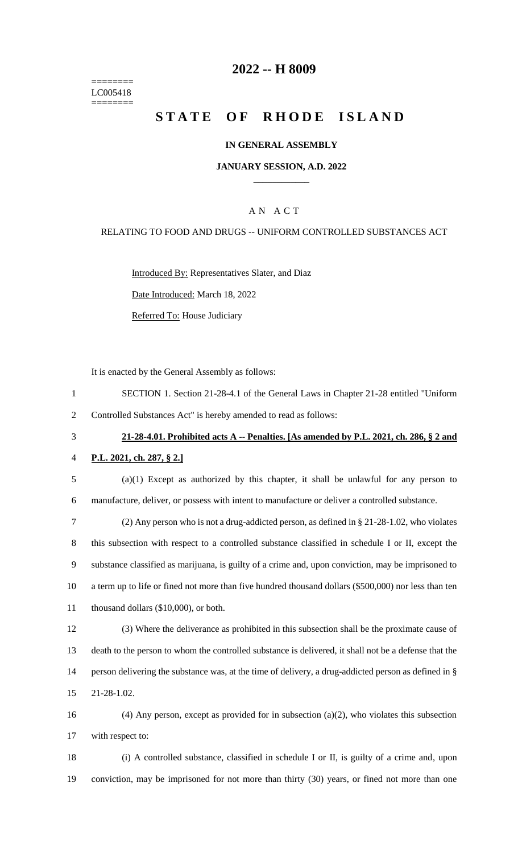======== LC005418 ========

## **2022 -- H 8009**

# **STATE OF RHODE ISLAND**

### **IN GENERAL ASSEMBLY**

### **JANUARY SESSION, A.D. 2022 \_\_\_\_\_\_\_\_\_\_\_\_**

## A N A C T

#### RELATING TO FOOD AND DRUGS -- UNIFORM CONTROLLED SUBSTANCES ACT

Introduced By: Representatives Slater, and Diaz

Date Introduced: March 18, 2022

Referred To: House Judiciary

It is enacted by the General Assembly as follows:

- 1 SECTION 1. Section 21-28-4.1 of the General Laws in Chapter 21-28 entitled "Uniform 2 Controlled Substances Act" is hereby amended to read as follows:
- 

# 3 **21-28-4.01. Prohibited acts A -- Penalties. [As amended by P.L. 2021, ch. 286, § 2 and**

- 4 **P.L. 2021, ch. 287, § 2.]**
- 5 (a)(1) Except as authorized by this chapter, it shall be unlawful for any person to 6 manufacture, deliver, or possess with intent to manufacture or deliver a controlled substance.

 (2) Any person who is not a drug-addicted person, as defined in § 21-28-1.02, who violates this subsection with respect to a controlled substance classified in schedule I or II, except the substance classified as marijuana, is guilty of a crime and, upon conviction, may be imprisoned to a term up to life or fined not more than five hundred thousand dollars (\$500,000) nor less than ten 11 thousand dollars (\$10,000), or both.

 (3) Where the deliverance as prohibited in this subsection shall be the proximate cause of death to the person to whom the controlled substance is delivered, it shall not be a defense that the person delivering the substance was, at the time of delivery, a drug-addicted person as defined in § 21-28-1.02.

16 (4) Any person, except as provided for in subsection (a)(2), who violates this subsection 17 with respect to:

18 (i) A controlled substance, classified in schedule I or II, is guilty of a crime and, upon 19 conviction, may be imprisoned for not more than thirty (30) years, or fined not more than one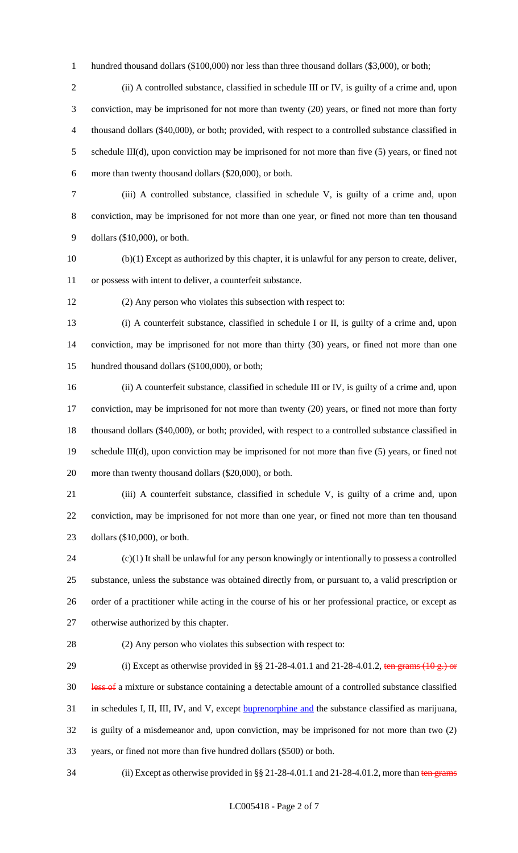1 hundred thousand dollars (\$100,000) nor less than three thousand dollars (\$3,000), or both;

 (ii) A controlled substance, classified in schedule III or IV, is guilty of a crime and, upon conviction, may be imprisoned for not more than twenty (20) years, or fined not more than forty thousand dollars (\$40,000), or both; provided, with respect to a controlled substance classified in 5 schedule III(d), upon conviction may be imprisoned for not more than five (5) years, or fined not more than twenty thousand dollars (\$20,000), or both.

 (iii) A controlled substance, classified in schedule V, is guilty of a crime and, upon conviction, may be imprisoned for not more than one year, or fined not more than ten thousand dollars (\$10,000), or both.

 (b)(1) Except as authorized by this chapter, it is unlawful for any person to create, deliver, or possess with intent to deliver, a counterfeit substance.

(2) Any person who violates this subsection with respect to:

 (i) A counterfeit substance, classified in schedule I or II, is guilty of a crime and, upon conviction, may be imprisoned for not more than thirty (30) years, or fined not more than one hundred thousand dollars (\$100,000), or both;

 (ii) A counterfeit substance, classified in schedule III or IV, is guilty of a crime and, upon conviction, may be imprisoned for not more than twenty (20) years, or fined not more than forty thousand dollars (\$40,000), or both; provided, with respect to a controlled substance classified in schedule III(d), upon conviction may be imprisoned for not more than five (5) years, or fined not more than twenty thousand dollars (\$20,000), or both.

 (iii) A counterfeit substance, classified in schedule V, is guilty of a crime and, upon conviction, may be imprisoned for not more than one year, or fined not more than ten thousand dollars (\$10,000), or both.

 (c)(1) It shall be unlawful for any person knowingly or intentionally to possess a controlled substance, unless the substance was obtained directly from, or pursuant to, a valid prescription or order of a practitioner while acting in the course of his or her professional practice, or except as otherwise authorized by this chapter.

(2) Any person who violates this subsection with respect to:

29 (i) Except as otherwise provided in §§ 21-28-4.01.1 and 21-28-4.01.2, ten grams  $(10 g.)$  or 30 less of a mixture or substance containing a detectable amount of a controlled substance classified 31 in schedules I, II, III, IV, and V, except **buprenorphine and** the substance classified as marijuana, is guilty of a misdemeanor and, upon conviction, may be imprisoned for not more than two (2) years, or fined not more than five hundred dollars (\$500) or both.

34 (ii) Except as otherwise provided in  $\S § 21-28-4.01.1$  and  $21-28-4.01.2$ , more than ten grams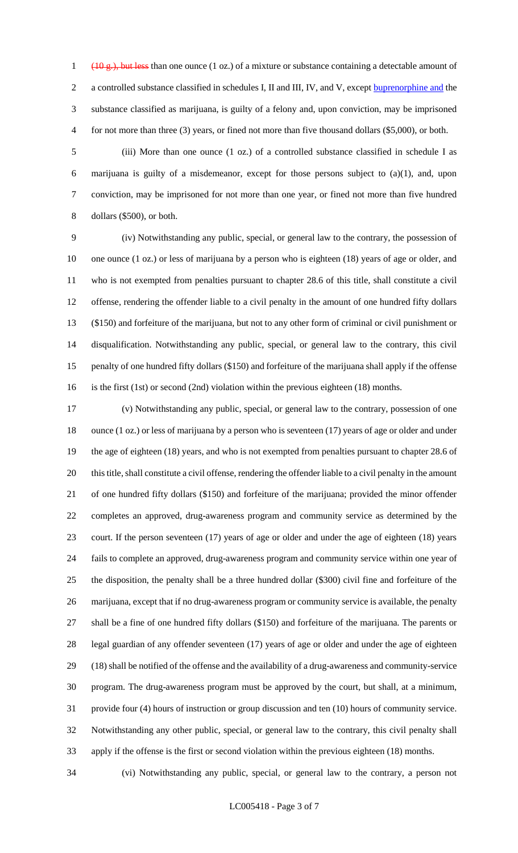(10 g.), but less than one ounce (1 oz.) of a mixture or substance containing a detectable amount of a controlled substance classified in schedules I, II and III, IV, and V, except buprenorphine and the substance classified as marijuana, is guilty of a felony and, upon conviction, may be imprisoned for not more than three (3) years, or fined not more than five thousand dollars (\$5,000), or both.

 (iii) More than one ounce (1 oz.) of a controlled substance classified in schedule I as marijuana is guilty of a misdemeanor, except for those persons subject to (a)(1), and, upon conviction, may be imprisoned for not more than one year, or fined not more than five hundred dollars (\$500), or both.

 (iv) Notwithstanding any public, special, or general law to the contrary, the possession of one ounce (1 oz.) or less of marijuana by a person who is eighteen (18) years of age or older, and who is not exempted from penalties pursuant to chapter 28.6 of this title, shall constitute a civil offense, rendering the offender liable to a civil penalty in the amount of one hundred fifty dollars (\$150) and forfeiture of the marijuana, but not to any other form of criminal or civil punishment or disqualification. Notwithstanding any public, special, or general law to the contrary, this civil penalty of one hundred fifty dollars (\$150) and forfeiture of the marijuana shall apply if the offense is the first (1st) or second (2nd) violation within the previous eighteen (18) months.

 (v) Notwithstanding any public, special, or general law to the contrary, possession of one ounce (1 oz.) or less of marijuana by a person who is seventeen (17) years of age or older and under the age of eighteen (18) years, and who is not exempted from penalties pursuant to chapter 28.6 of this title, shall constitute a civil offense, rendering the offender liable to a civil penalty in the amount of one hundred fifty dollars (\$150) and forfeiture of the marijuana; provided the minor offender completes an approved, drug-awareness program and community service as determined by the court. If the person seventeen (17) years of age or older and under the age of eighteen (18) years fails to complete an approved, drug-awareness program and community service within one year of the disposition, the penalty shall be a three hundred dollar (\$300) civil fine and forfeiture of the marijuana, except that if no drug-awareness program or community service is available, the penalty shall be a fine of one hundred fifty dollars (\$150) and forfeiture of the marijuana. The parents or legal guardian of any offender seventeen (17) years of age or older and under the age of eighteen (18) shall be notified of the offense and the availability of a drug-awareness and community-service program. The drug-awareness program must be approved by the court, but shall, at a minimum, provide four (4) hours of instruction or group discussion and ten (10) hours of community service. Notwithstanding any other public, special, or general law to the contrary, this civil penalty shall apply if the offense is the first or second violation within the previous eighteen (18) months.

(vi) Notwithstanding any public, special, or general law to the contrary, a person not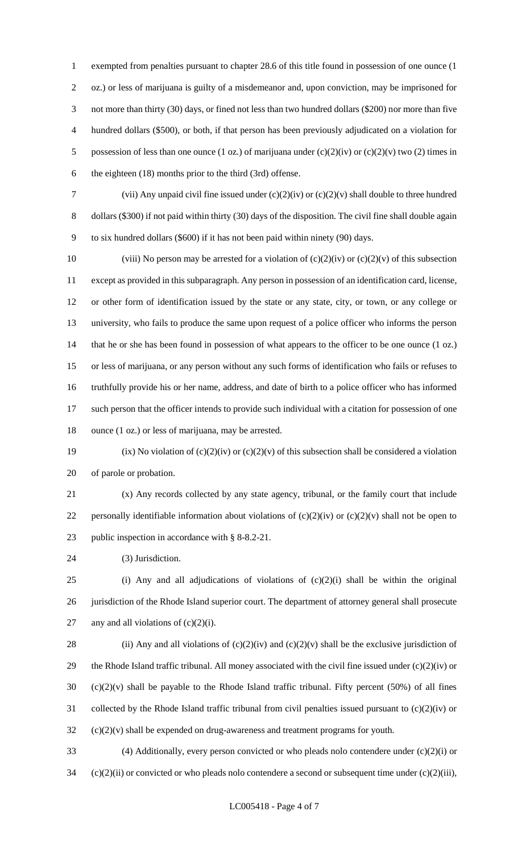exempted from penalties pursuant to chapter 28.6 of this title found in possession of one ounce (1 oz.) or less of marijuana is guilty of a misdemeanor and, upon conviction, may be imprisoned for not more than thirty (30) days, or fined not less than two hundred dollars (\$200) nor more than five hundred dollars (\$500), or both, if that person has been previously adjudicated on a violation for 5 possession of less than one ounce (1 oz.) of marijuana under  $(c)(2)(iv)$  or  $(c)(2)(v)$  two (2) times in the eighteen (18) months prior to the third (3rd) offense.

7 (vii) Any unpaid civil fine issued under  $(c)(2)(iv)$  or  $(c)(2)(v)$  shall double to three hundred dollars (\$300) if not paid within thirty (30) days of the disposition. The civil fine shall double again to six hundred dollars (\$600) if it has not been paid within ninety (90) days.

10 (viii) No person may be arrested for a violation of  $(c)(2)(iv)$  or  $(c)(2)(v)$  of this subsection except as provided in this subparagraph. Any person in possession of an identification card, license, or other form of identification issued by the state or any state, city, or town, or any college or university, who fails to produce the same upon request of a police officer who informs the person 14 that he or she has been found in possession of what appears to the officer to be one ounce (1 oz.) or less of marijuana, or any person without any such forms of identification who fails or refuses to truthfully provide his or her name, address, and date of birth to a police officer who has informed such person that the officer intends to provide such individual with a citation for possession of one ounce (1 oz.) or less of marijuana, may be arrested.

19 (ix) No violation of  $(c)(2)(iv)$  or  $(c)(2)(v)$  of this subsection shall be considered a violation of parole or probation.

 (x) Any records collected by any state agency, tribunal, or the family court that include 22 personally identifiable information about violations of  $(c)(2)(iv)$  or  $(c)(2)(v)$  shall not be open to public inspection in accordance with § 8-8.2-21.

(3) Jurisdiction.

 (i) Any and all adjudications of violations of (c)(2)(i) shall be within the original 26 jurisdiction of the Rhode Island superior court. The department of attorney general shall prosecute 27 any and all violations of  $(c)(2)(i)$ .

28 (ii) Any and all violations of  $(c)(2)(iv)$  and  $(c)(2)(v)$  shall be the exclusive jurisdiction of 29 the Rhode Island traffic tribunal. All money associated with the civil fine issued under  $(c)(2)(iv)$  or (c)(2)(v) shall be payable to the Rhode Island traffic tribunal. Fifty percent (50%) of all fines collected by the Rhode Island traffic tribunal from civil penalties issued pursuant to (c)(2)(iv) or (c)(2)(v) shall be expended on drug-awareness and treatment programs for youth.

 (4) Additionally, every person convicted or who pleads nolo contendere under (c)(2)(i) or (c)(2)(ii) or convicted or who pleads nolo contendere a second or subsequent time under (c)(2)(iii),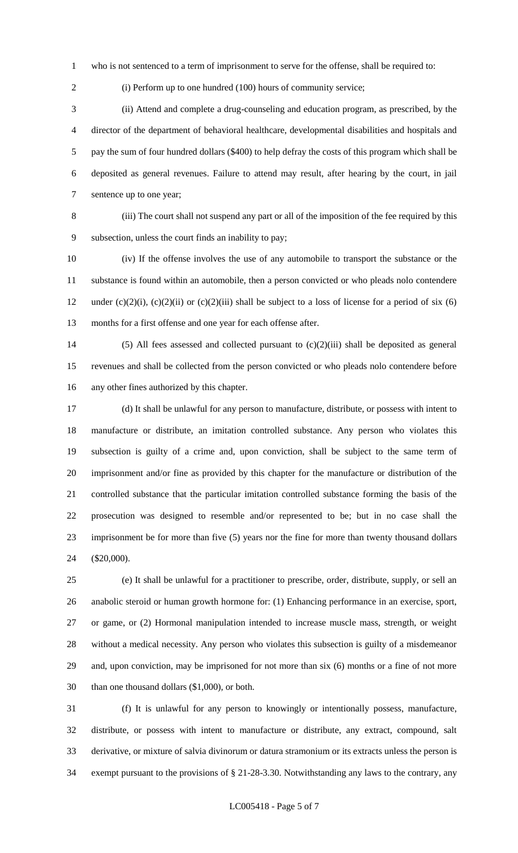who is not sentenced to a term of imprisonment to serve for the offense, shall be required to:

2 (i) Perform up to one hundred (100) hours of community service;

 (ii) Attend and complete a drug-counseling and education program, as prescribed, by the director of the department of behavioral healthcare, developmental disabilities and hospitals and pay the sum of four hundred dollars (\$400) to help defray the costs of this program which shall be deposited as general revenues. Failure to attend may result, after hearing by the court, in jail sentence up to one year;

 (iii) The court shall not suspend any part or all of the imposition of the fee required by this subsection, unless the court finds an inability to pay;

 (iv) If the offense involves the use of any automobile to transport the substance or the substance is found within an automobile, then a person convicted or who pleads nolo contendere 12 under (c)(2)(i), (c)(2)(ii) or (c)(2)(iii) shall be subject to a loss of license for a period of six (6) months for a first offense and one year for each offense after.

 (5) All fees assessed and collected pursuant to (c)(2)(iii) shall be deposited as general revenues and shall be collected from the person convicted or who pleads nolo contendere before any other fines authorized by this chapter.

 (d) It shall be unlawful for any person to manufacture, distribute, or possess with intent to manufacture or distribute, an imitation controlled substance. Any person who violates this subsection is guilty of a crime and, upon conviction, shall be subject to the same term of imprisonment and/or fine as provided by this chapter for the manufacture or distribution of the controlled substance that the particular imitation controlled substance forming the basis of the prosecution was designed to resemble and/or represented to be; but in no case shall the imprisonment be for more than five (5) years nor the fine for more than twenty thousand dollars (\$20,000).

 (e) It shall be unlawful for a practitioner to prescribe, order, distribute, supply, or sell an anabolic steroid or human growth hormone for: (1) Enhancing performance in an exercise, sport, or game, or (2) Hormonal manipulation intended to increase muscle mass, strength, or weight without a medical necessity. Any person who violates this subsection is guilty of a misdemeanor and, upon conviction, may be imprisoned for not more than six (6) months or a fine of not more than one thousand dollars (\$1,000), or both.

 (f) It is unlawful for any person to knowingly or intentionally possess, manufacture, distribute, or possess with intent to manufacture or distribute, any extract, compound, salt derivative, or mixture of salvia divinorum or datura stramonium or its extracts unless the person is exempt pursuant to the provisions of § 21-28-3.30. Notwithstanding any laws to the contrary, any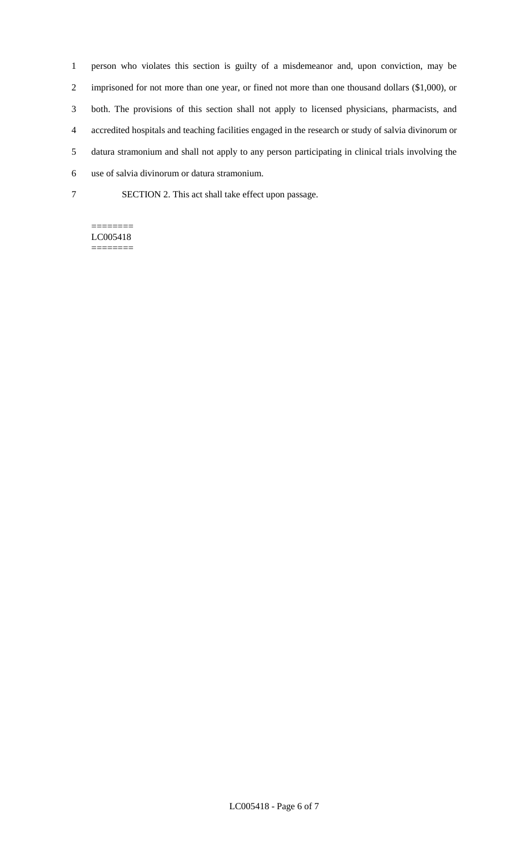person who violates this section is guilty of a misdemeanor and, upon conviction, may be imprisoned for not more than one year, or fined not more than one thousand dollars (\$1,000), or both. The provisions of this section shall not apply to licensed physicians, pharmacists, and accredited hospitals and teaching facilities engaged in the research or study of salvia divinorum or datura stramonium and shall not apply to any person participating in clinical trials involving the use of salvia divinorum or datura stramonium.

SECTION 2. This act shall take effect upon passage.

#### ======== LC005418 ========